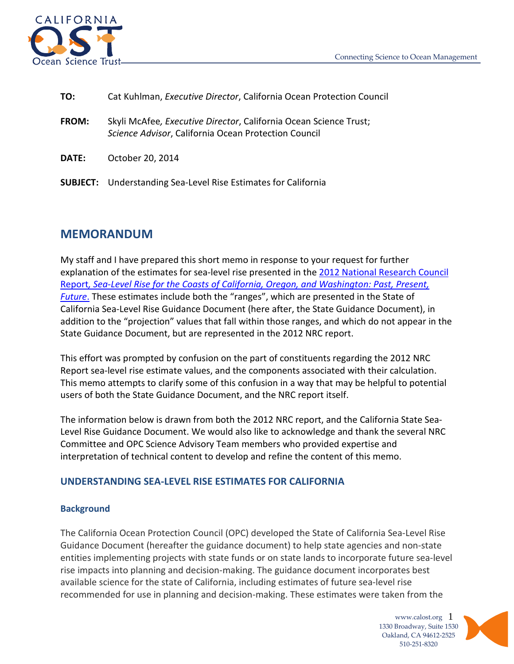

| TO:          | Cat Kuhlman, Executive Director, California Ocean Protection Council                                                      |
|--------------|---------------------------------------------------------------------------------------------------------------------------|
| <b>FROM:</b> | Skyli McAfee, Executive Director, California Ocean Science Trust;<br>Science Advisor, California Ocean Protection Council |
| <b>DATE:</b> | October 20, 2014                                                                                                          |
|              | <b>SUBJECT:</b> Understanding Sea-Level Rise Estimates for California                                                     |

# **MEMORANDUM**

My staff and I have prepared this short memo in response to your request for further explanation of the estimates for sea-level rise presented in the 2012 National Research Council Report*[, Sea-Level Rise for the Coasts of California, Oregon, and Washington: Past, Present,](http://www.nap.edu/catalog.php?record_id=13389)  [Future](http://www.nap.edu/catalog.php?record_id=13389)*. These estimates include both the "ranges", which are presented in the State of California Sea-Level Rise Guidance Document (here after, the State Guidance Document), in addition to the "projection" values that fall within those ranges, and which do not appear in the State Guidance Document, but are represented in the 2012 NRC report.

This effort was prompted by confusion on the part of constituents regarding the 2012 NRC Report sea-level rise estimate values, and the components associated with their calculation. This memo attempts to clarify some of this confusion in a way that may be helpful to potential users of both the State Guidance Document, and the NRC report itself.

The information below is drawn from both the 2012 NRC report, and the California State Sea-Level Rise Guidance Document. We would also like to acknowledge and thank the several NRC Committee and OPC Science Advisory Team members who provided expertise and interpretation of technical content to develop and refine the content of this memo.

## **UNDERSTANDING SEA-LEVEL RISE ESTIMATES FOR CALIFORNIA**

### **Background**

The California Ocean Protection Council (OPC) developed the State of California Sea-Level Rise Guidance Document (hereafter the guidance document) to help state agencies and non-state entities implementing projects with state funds or on state lands to incorporate future sea-level rise impacts into planning and decision-making. The guidance document incorporates best available science for the state of California, including estimates of future sea-level rise recommended for use in planning and decision-making. These estimates were taken from the

> www.calost.org 1 1330 Broadway, Suite 1530 Oakland, CA 94612-2525 510-251-8320

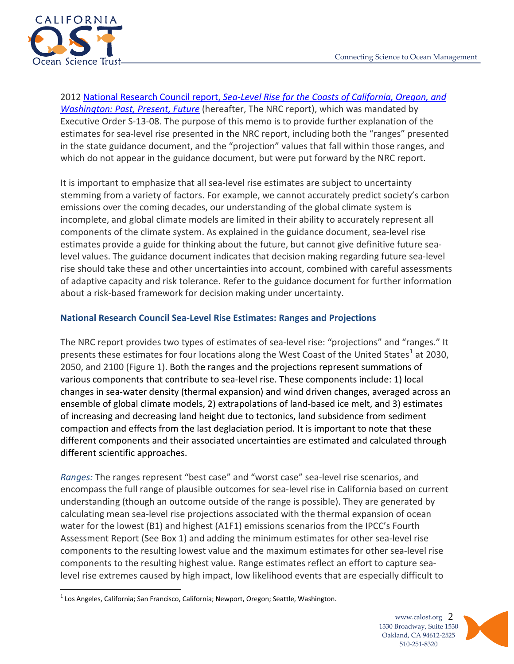

2012 National Research Council report, *[Sea-Level Rise for the Coasts of California, Oregon, and](http://www.nap.edu/catalog.php?record_id=13389)  [Washington: Past, Present, Future](http://www.nap.edu/catalog.php?record_id=13389)* (hereafter, The NRC report), which was mandated by Executive Order S-13-08. The purpose of this memo is to provide further explanation of the estimates for sea-level rise presented in the NRC report, including both the "ranges" presented in the state guidance document, and the "projection" values that fall within those ranges, and which do not appear in the guidance document, but were put forward by the NRC report.

It is important to emphasize that all sea-level rise estimates are subject to uncertainty stemming from a variety of factors. For example, we cannot accurately predict society's carbon emissions over the coming decades, our understanding of the global climate system is incomplete, and global climate models are limited in their ability to accurately represent all components of the climate system. As explained in the guidance document, sea-level rise estimates provide a guide for thinking about the future, but cannot give definitive future sealevel values. The guidance document indicates that decision making regarding future sea-level rise should take these and other uncertainties into account, combined with careful assessments of adaptive capacity and risk tolerance. Refer to the guidance document for further information about a risk-based framework for decision making under uncertainty.

# **National Research Council Sea-Level Rise Estimates: Ranges and Projections**

The NRC report provides two types of estimates of sea-level rise: "projections" and "ranges." It presents these estimates for four locations along the West Coast of the United States<sup>[1](#page-1-0)</sup> at 2030, 2050, and 2100 (Figure 1). Both the ranges and the projections represent summations of various components that contribute to sea-level rise. These components include: 1) local changes in sea-water density (thermal expansion) and wind driven changes, averaged across an ensemble of global climate models, 2) extrapolations of land-based ice melt, and 3) estimates of increasing and decreasing land height due to tectonics, land subsidence from sediment compaction and effects from the last deglaciation period. It is important to note that these different components and their associated uncertainties are estimated and calculated through different scientific approaches.

*Ranges:* The ranges represent "best case" and "worst case" sea-level rise scenarios, and encompass the full range of plausible outcomes for sea-level rise in California based on current understanding (though an outcome outside of the range is possible). They are generated by calculating mean sea-level rise projections associated with the thermal expansion of ocean water for the lowest (B1) and highest (A1F1) emissions scenarios from the IPCC's Fourth Assessment Report (See Box 1) and adding the minimum estimates for other sea-level rise components to the resulting lowest value and the maximum estimates for other sea-level rise components to the resulting highest value. Range estimates reflect an effort to capture sealevel rise extremes caused by high impact, low likelihood events that are especially difficult to

www.calost.org 2 1330 Broadway, Suite 1530 Oakland, CA 94612-2525 510-251-8320



<span id="page-1-0"></span> $<sup>1</sup>$  Los Angeles, California; San Francisco, California; Newport, Oregon; Seattle, Washington.</sup>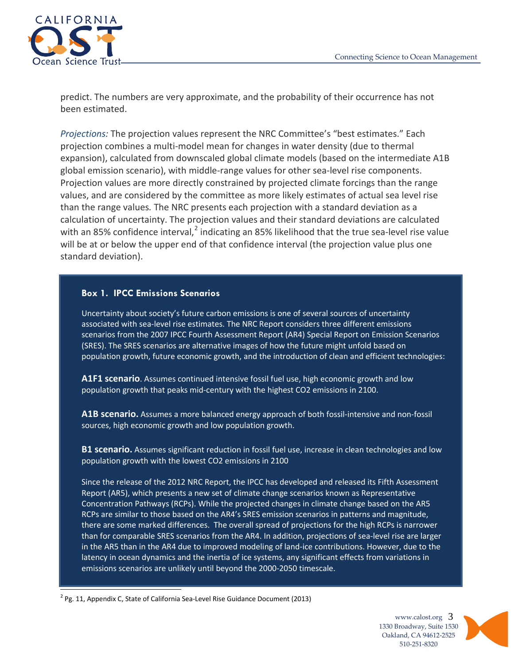

predict. The numbers are very approximate, and the probability of their occurrence has not been estimated.

*Projections:* The projection values represent the NRC Committee's "best estimates." Each projection combines a multi-model mean for changes in water density (due to thermal expansion), calculated from downscaled global climate models (based on the intermediate A1B global emission scenario), with middle-range values for other sea-level rise components. Projection values are more directly constrained by projected climate forcings than the range values, and are considered by the committee as more likely estimates of actual sea level rise than the range values*.* The NRC presents each projection with a standard deviation as a calculation of uncertainty. The projection values and their standard deviations are calculated with an 85% confidence interval,<sup>[2](#page-2-0)</sup> indicating an 85% likelihood that the true sea-level rise value will be at or below the upper end of that confidence interval (the projection value plus one standard deviation).

#### **Box 1. IPCC Emissions Scenarios**

Uncertainty about society's future carbon emissions is one of several sources of uncertainty associated with sea-level rise estimates. The NRC Report considers three different emissions scenarios from the 2007 IPCC Fourth Assessment Report (AR4) Special Report on Emission Scenarios (SRES). The SRES scenarios are alternative images of how the future might unfold based on population growth, future economic growth, and the introduction of clean and efficient technologies:

**A1F1 scenario**. Assumes continued intensive fossil fuel use, high economic growth and low population growth that peaks mid-century with the highest CO2 emissions in 2100.

**A1B scenario.** Assumes a more balanced energy approach of both fossil-intensive and non-fossil sources, high economic growth and low population growth.

**B1 scenario.** Assumes significant reduction in fossil fuel use, increase in clean technologies and low population growth with the lowest CO2 emissions in 2100

Since the release of the 2012 NRC Report, the IPCC has developed and released its Fifth Assessment Report (AR5), which presents a new set of climate change scenarios known as Representative Concentration Pathways (RCPs). While the projected changes in climate change based on the AR5 RCPs are similar to those based on the AR4's SRES emission scenarios in patterns and magnitude, there are some marked differences. The overall spread of projections for the high RCPs is narrower than for comparable SRES scenarios from the AR4. In addition, projections of sea-level rise are larger in the AR5 than in the AR4 due to improved modeling of land-ice contributions. However, due to the latency in ocean dynamics and the inertia of ice systems, any significant effects from variations in emissions scenarios are unlikely until beyond the 2000-2050 timescale.

<span id="page-2-0"></span> $2$  Pg. 11, Appendix C, State of California Sea-Level Rise Guidance Document (2013)

www.calost.org 3 1330 Broadway, Suite 1530 Oakland, CA 94612-2525 510-251-8320

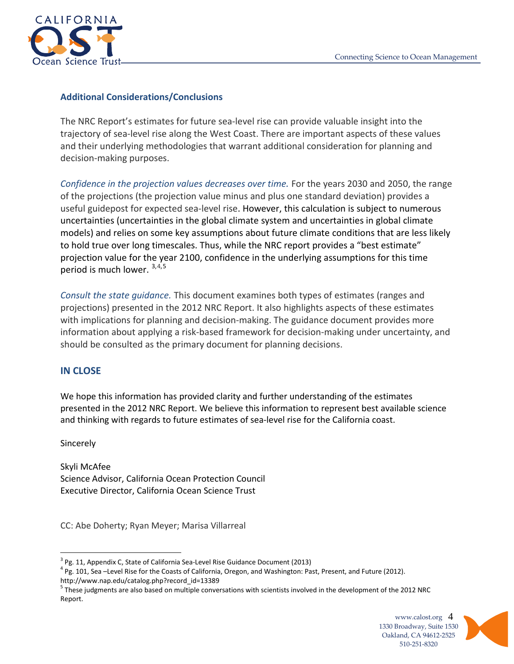

## **Additional Considerations/Conclusions**

The NRC Report's estimates for future sea-level rise can provide valuable insight into the trajectory of sea-level rise along the West Coast. There are important aspects of these values and their underlying methodologies that warrant additional consideration for planning and decision-making purposes.

*Confidence in the projection values decreases over time.* For the years 2030 and 2050, the range of the projections (the projection value minus and plus one standard deviation) provides a useful guidepost for expected sea-level rise. However, this calculation is subject to numerous uncertainties (uncertainties in the global climate system and uncertainties in global climate models) and relies on some key assumptions about future climate conditions that are less likely to hold true over long timescales. Thus, while the NRC report provides a "best estimate" projection value for the year 2100, confidence in the underlying assumptions for this time period is much lower. [3,](#page-3-0)[4](#page-3-1),[5](#page-3-2)

*Consult the state guidance.* This document examines both types of estimates (ranges and projections) presented in the 2012 NRC Report. It also highlights aspects of these estimates with implications for planning and decision-making. The guidance document provides more information about applying a risk-based framework for decision-making under uncertainty, and should be consulted as the primary document for planning decisions.

## **IN CLOSE**

We hope this information has provided clarity and further understanding of the estimates presented in the 2012 NRC Report. We believe this information to represent best available science and thinking with regards to future estimates of sea-level rise for the California coast.

Sincerely

Skyli McAfee Science Advisor, California Ocean Protection Council Executive Director, California Ocean Science Trust

CC: Abe Doherty; Ryan Meyer; Marisa Villarreal

<span id="page-3-2"></span><sup>&</sup>lt;sup>5</sup> These judgments are also based on multiple conversations with scientists involved in the development of the 2012 NRC Report.





<span id="page-3-1"></span><span id="page-3-0"></span><sup>&</sup>lt;sup>3</sup> Pg. 11, Appendix C, State of California Sea-Level Rise Guidance Document (2013)<br><sup>4</sup> Pg. 101, Sea –Level Rise for the Coasts of California, Oregon, and Washington: Past, Present, and Future (2012). http://www.nap.edu/catalog.php?record\_id=13389